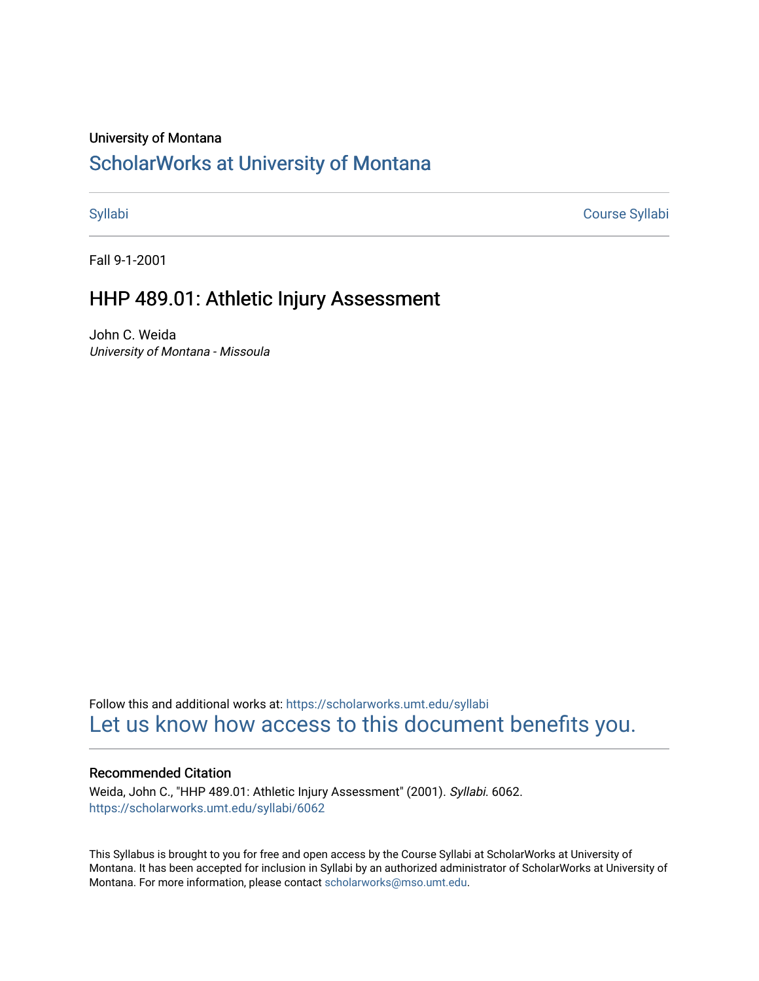#### University of Montana

# [ScholarWorks at University of Montana](https://scholarworks.umt.edu/)

[Syllabi](https://scholarworks.umt.edu/syllabi) [Course Syllabi](https://scholarworks.umt.edu/course_syllabi) 

Fall 9-1-2001

## HHP 489.01: Athletic Injury Assessment

John C. Weida University of Montana - Missoula

Follow this and additional works at: [https://scholarworks.umt.edu/syllabi](https://scholarworks.umt.edu/syllabi?utm_source=scholarworks.umt.edu%2Fsyllabi%2F6062&utm_medium=PDF&utm_campaign=PDFCoverPages)  [Let us know how access to this document benefits you.](https://goo.gl/forms/s2rGfXOLzz71qgsB2) 

#### Recommended Citation

Weida, John C., "HHP 489.01: Athletic Injury Assessment" (2001). Syllabi. 6062. [https://scholarworks.umt.edu/syllabi/6062](https://scholarworks.umt.edu/syllabi/6062?utm_source=scholarworks.umt.edu%2Fsyllabi%2F6062&utm_medium=PDF&utm_campaign=PDFCoverPages)

This Syllabus is brought to you for free and open access by the Course Syllabi at ScholarWorks at University of Montana. It has been accepted for inclusion in Syllabi by an authorized administrator of ScholarWorks at University of Montana. For more information, please contact [scholarworks@mso.umt.edu.](mailto:scholarworks@mso.umt.edu)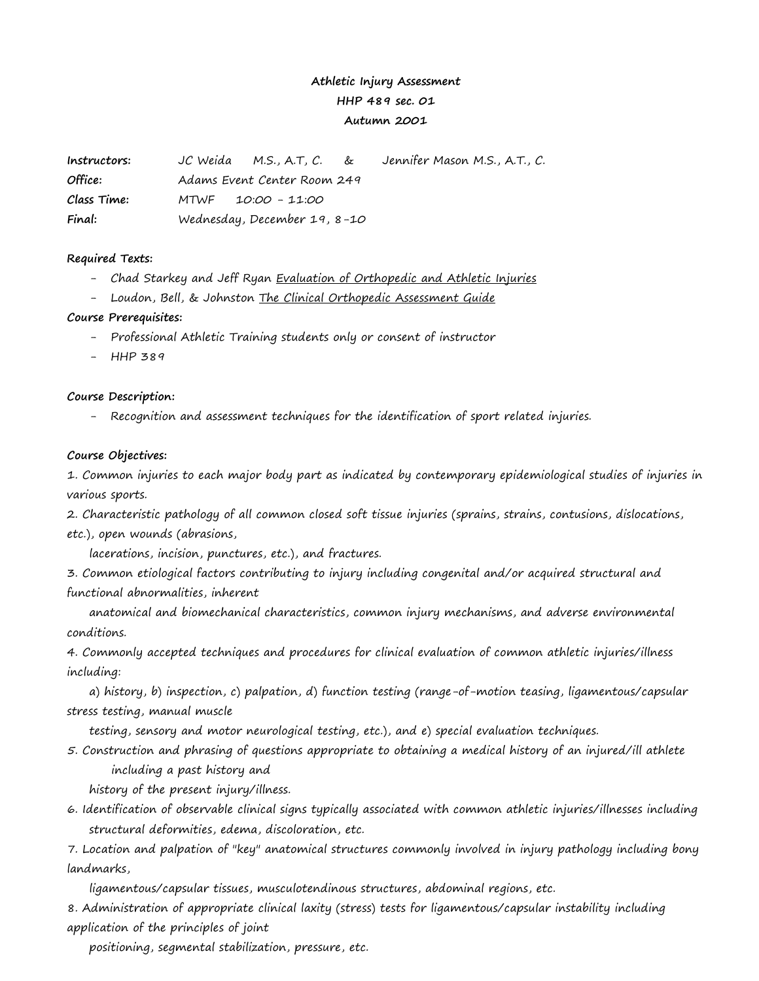## **Athletic Injury Assessment HHP 489 sec. 01 Autumn 2001**

| Instructors: | JC Weida M.S., A.T., C. &    | Jennifer Mason M.S., A.T., C. |
|--------------|------------------------------|-------------------------------|
| Office:      | Adams Event Center Room 249  |                               |
| Class Time:  | MTWF 10:00 - 11:00           |                               |
| Final:       | Wednesday, December 19, 8-10 |                               |

#### **Required Texts:**

- Chad Starkey and Jeff Ryan Evaluation of Orthopedic and Athletic Injuries
- Loudon, Bell, & Johnston The Clinical Orthopedic Assessment Guide

#### **Course Prerequisites:**

- Professional Athletic Training students only or consent of instructor
- HHP 389

### **Course Description:**

- Recognition and assessment techniques for the identification of sport related injuries.

#### **Course Objectives:**

1. Common injuries to each major body part as indicated by contemporary epidemiological studies of injuries in various sports.

2. Characteristic pathology of all common closed soft tissue injuries (sprains, strains, contusions, dislocations, etc.), open wounds (abrasions,

lacerations, incision, punctures, etc.), and fractures.

3. Common etiological factors contributing to injury including congenital and/or acquired structural and functional abnormalities, inherent

anatomical and biomechanical characteristics, common injury mechanisms, and adverse environmental conditions.

4. Commonly accepted techniques and procedures for clinical evaluation of common athletic injuries/illness including:

a) history, b) inspection, c) palpation, d) function testing (range-of-motion teasing, ligamentous/capsular stress testing, manual muscle

testing, sensory and motor neurological testing, etc.), and e) special evaluation techniques.

5. Construction and phrasing of questions appropriate to obtaining a medical history of an injured/ill athlete including a past history and

history of the present injury/illness.

6. Identification of observable clinical signs typically associated with common athletic injuries/illnesses including structural deformities, edema, discoloration, etc.

7. Location and palpation of "key" anatomical structures commonly involved in injury pathology including bony landmarks,

ligamentous/capsular tissues, musculotendinous structures, abdominal regions, etc.

8. Administration of appropriate clinical laxity (stress) tests for ligamentous/capsular instability including application of the principles of joint

positioning, segmental stabilization, pressure, etc.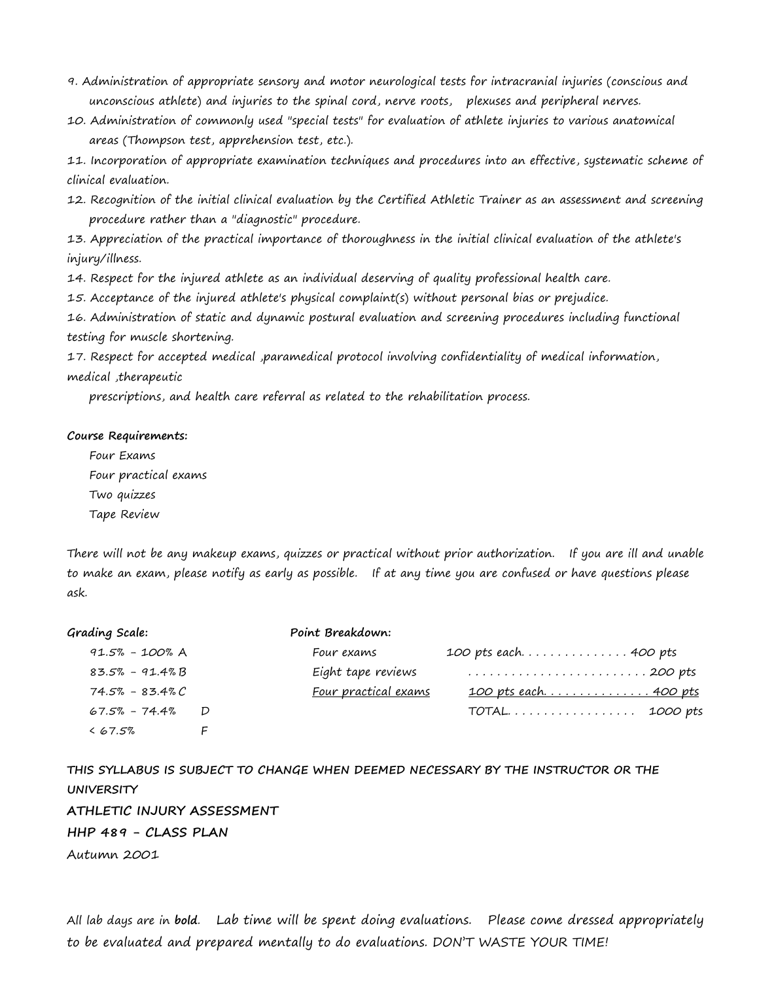- 9. Administration of appropriate sensory and motor neurological tests for intracranial injuries (conscious and unconscious athlete) and injuries to the spinal cord, nerve roots, plexuses and peripheral nerves.
- 10. Administration of commonly used "special tests" for evaluation of athlete injuries to various anatomical areas (Thompson test, apprehension test, etc.).

11. Incorporation of appropriate examination techniques and procedures into an effective, systematic scheme of clinical evaluation.

12. Recognition of the initial clinical evaluation by the Certified Athletic Trainer as an assessment and screening procedure rather than a "diagnostic" procedure.

13. Appreciation of the practical importance of thoroughness in the initial clinical evaluation of the athlete's injury/illness.

14. Respect for the injured athlete as an individual deserving of quality professional health care.

15. Acceptance of the injured athlete's physical complaint(s) without personal bias or prejudice.

16. Administration of static and dynamic postural evaluation and screening procedures including functional testing for muscle shortening.

17. Respect for accepted medical ,paramedical protocol involving confidentiality of medical information, medical ,therapeutic

prescriptions, and health care referral as related to the rehabilitation process.

#### **Course Requirements:**

Four Exams Four practical exams Two quizzes Tape Review

There will not be any makeup exams, quizzes or practical without prior authorization. If you are ill and unable to make an exam, please notify as early as possible. If at any time you are confused or have questions please ask.

| Grading Scale:      |   | Point Breakdown:     |                              |
|---------------------|---|----------------------|------------------------------|
| 91.5% - 100% A      |   | Four exams           | 100 pts each 400 pts         |
| 83.5% - 91.4% B     |   | Eight tape reviews   |                              |
| $74.5\% - 83.4\% C$ |   | Four practical exams | <u> 100 pts each 400 pts</u> |
| 67.5% - 74.4%       | D |                      | TOTAL 1000 pts               |
| $&67.5\%$           |   |                      |                              |

**THIS SYLLABUS IS SUBJECT TO CHANGE WHEN DEEMED NECESSARY BY THE INSTRUCTOR OR THE UNIVERSITY ATHLETIC INJURY ASSESSMENT HHP 489 - CLASS PLAN** Autumn 2001

All lab days are in **bold**. Lab time will be spent doing evaluations. Please come dressed appropriately to be evaluated and prepared mentally to do evaluations. DON'T WASTE YOUR TIME!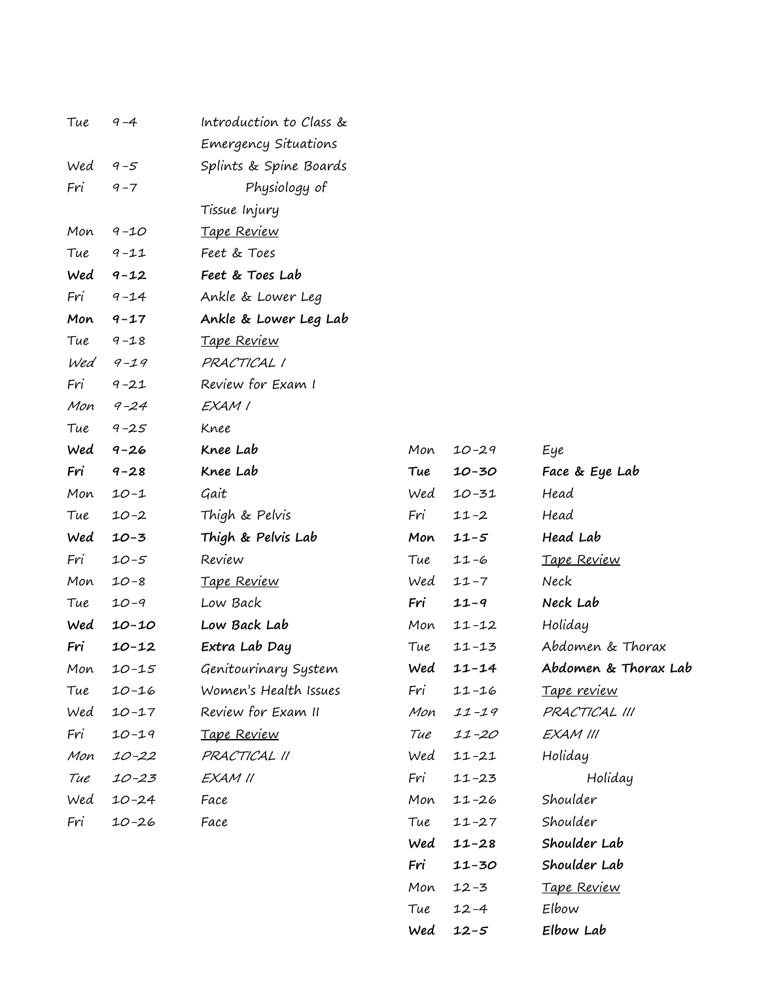| Tue | $9 - 4$   | Introduction to Class & |     |           |                      |
|-----|-----------|-------------------------|-----|-----------|----------------------|
|     |           | Emergency Situations    |     |           |                      |
| Wed | $9 - 5$   | Splints & Spine Boards  |     |           |                      |
| Fri | $9 - 7$   | Physiology of           |     |           |                      |
|     |           | Tissue Injury           |     |           |                      |
| Mon | $9 - 10$  | <u>Tape Review</u>      |     |           |                      |
| Tue | $9 - 11$  | Feet & Toes             |     |           |                      |
| Wed | $9 - 12$  | Feet & Toes Lab         |     |           |                      |
| Fri | $9 - 14$  | Ankle & Lower Leg       |     |           |                      |
| Mon | $9 - 17$  | Ankle & Lower Leg Lab   |     |           |                      |
| Tue | $9 - 18$  | <u>Tape Review</u>      |     |           |                      |
| Wed | $9 - 19$  | PRACTICAL I             |     |           |                      |
| Fri | $9 - 21$  | Review for Exam I       |     |           |                      |
| Mon | $9 - 24$  | EXAM I                  |     |           |                      |
| Tue | $9 - 25$  | Knee                    |     |           |                      |
| Wed | $9 - 26$  | Knee Lab                | Mon | $10 - 29$ | Eye                  |
| Fri | $9 - 28$  | Knee Lab                | Tue | $10 - 30$ | Face & Eye Lab       |
| Mon | $10 - 1$  | Gait                    | Wed | $10 - 31$ | Head                 |
| Tue | $10 - 2$  | Thigh & Pelvis          | Fri | $11 - 2$  | Head                 |
| Wed | $10 - 3$  | Thigh & Pelvis Lab      | Mon | $11 - 5$  | Head Lab             |
| Fri | $10 - 5$  | Review                  | Tue | $11 - 6$  | Tape Review          |
| Mon | $10 - 8$  | Tape Review             | Wed | $11 - 7$  | Neck                 |
| Tue | $10 - 9$  | Low Back                | Fri | $11 - 9$  | Neck Lab             |
| Wed | $10 - 10$ | Low Back Lab            | Mon | $11 - 12$ | Holiday              |
| Fri | $10 - 12$ | Extra Lab Day           | Tue | $11 - 13$ | Abdomen & Thorax     |
| Mon | $10 - 15$ | Genitourinary System    |     | Wed 11-14 | Abdomen & Thorax Lab |
| Tue | $10 - 16$ | Women's Health Issues   | Fri | $11 - 16$ | <u>Tape review</u>   |
| Wed | $10 - 17$ | Review for Exam II      | Mon | $11 - 19$ | PRACTICAL III        |
| Fri | $10 - 19$ | Tape Review             | Tue | $11 - 20$ | EXAM III             |
| Mon | $10 - 22$ | PRACTICAL II            | Wed | $11 - 21$ | Holiday              |
| Tue | $10 - 23$ | EXAM II                 | Fri | $11 - 23$ | Holiday              |
| Wed | $10 - 24$ | Face                    | Mon | $11 - 26$ | Shoulder             |
| Fri | $10 - 26$ | Face                    | Tue | $11 - 27$ | Shoulder             |
|     |           |                         | Wed | $11 - 28$ | Shoulder Lab         |
|     |           |                         | Fri | $11 - 30$ | Shoulder Lab         |
|     |           |                         | Mon | $12 - 3$  | <u>Tape Review</u>   |

Tue 12-4 Elbow

**Wed 12-5 Elbow Lab**